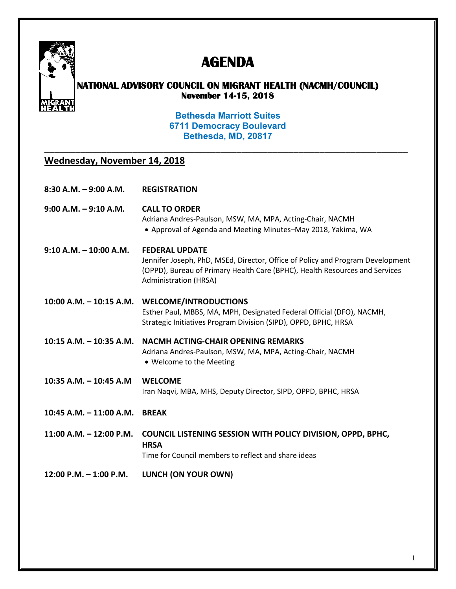

## **AGENDA**

## **NATIONAL ADVISORY COUNCIL ON MIGRANT HEALTH (NACMH/COUNCIL) November 14-15, 2018**

**Bethesda Marriott Suites 6711 Democracy Boulevard Bethesda, MD, 20817**

\_\_\_\_\_\_\_\_\_\_\_\_\_\_\_\_\_\_\_\_\_\_\_\_\_\_\_\_\_\_\_\_\_\_\_\_\_\_\_\_\_\_\_\_\_\_\_\_\_\_\_\_\_\_\_\_\_\_\_\_\_\_\_\_\_\_\_\_\_\_

## **Wednesday, November 14, 2018**

**8:30 A.M. – 9:00 A.M. REGISTRATION** 

**9:00 A.M. – 9:10 A.M. CALL TO ORDER**  Adriana Andres-Paulson, MSW, MA, MPA, Acting-Chair, NACMH • Approval of Agenda and Meeting Minutes–May 2018, Yakima, WA

**9:10 A.M. – 10:00 A.M. FEDERAL UPDATE**  Jennifer Joseph, PhD, MSEd, Director, Office of Policy and Program Development (OPPD), Bureau of Primary Health Care (BPHC), Health Resources and Services Administration (HRSA)

**10:00 A.M. – 10:15 A.M. WELCOME/INTRODUCTIONS** Esther Paul, MBBS, MA, MPH, Designated Federal Official (DFO), NACMH, Strategic Initiatives Program Division (SIPD), OPPD, BPHC, HRSA

- **10:15 A.M. 10:35 A.M. NACMH ACTING-CHAIR OPENING REMARKS**  Adriana Andres-Paulson, MSW, MA, MPA, Acting-Chair, NACMH • Welcome to the Meeting
- **10:35 A.M. 10:45 A.M WELCOME**

Iran Naqvi, MBA, MHS, Deputy Director, SIPD, OPPD, BPHC, HRSA

**10:45 A.M. – 11:00 A.M. BREAK**

**11:00 A.M. – 12:00 P.M. COUNCIL LISTENING SESSION WITH POLICY DIVISION, OPPD, BPHC, HRSA** Time for Council members to reflect and share ideas

**12:00 P.M. – 1:00 P.M. LUNCH (ON YOUR OWN)**

1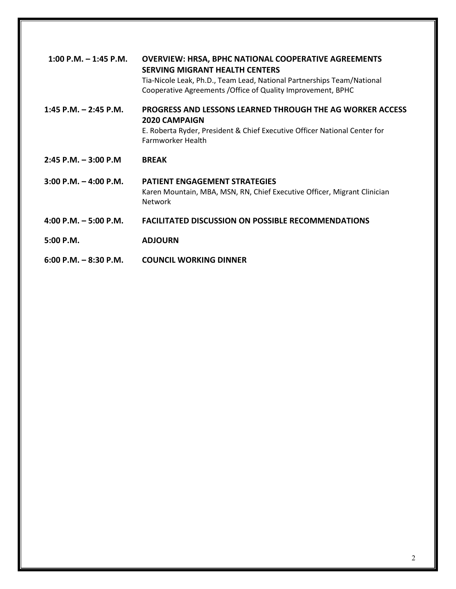| $1:00$ P.M. $-1:45$ P.M.  | <b>OVERVIEW: HRSA, BPHC NATIONAL COOPERATIVE AGREEMENTS</b><br><b>SERVING MIGRANT HEALTH CENTERS</b><br>Tia-Nicole Leak, Ph.D., Team Lead, National Partnerships Team/National<br>Cooperative Agreements / Office of Quality Improvement, BPHC |
|---------------------------|------------------------------------------------------------------------------------------------------------------------------------------------------------------------------------------------------------------------------------------------|
| $1:45$ P.M. $- 2:45$ P.M. | <b>PROGRESS AND LESSONS LEARNED THROUGH THE AG WORKER ACCESS</b><br>2020 CAMPAIGN<br>E. Roberta Ryder, President & Chief Executive Officer National Center for<br><b>Farmworker Health</b>                                                     |
| $2:45$ P.M. $-3:00$ P.M.  | <b>BREAK</b>                                                                                                                                                                                                                                   |
| $3:00$ P.M. $-4:00$ P.M.  | <b>PATIENT ENGAGEMENT STRATEGIES</b><br>Karen Mountain, MBA, MSN, RN, Chief Executive Officer, Migrant Clinician<br><b>Network</b>                                                                                                             |
| 4:00 P.M. $-$ 5:00 P.M.   | <b>FACILITATED DISCUSSION ON POSSIBLE RECOMMENDATIONS</b>                                                                                                                                                                                      |
| $5:00$ P.M.               | <b>ADJOURN</b>                                                                                                                                                                                                                                 |
| $6:00$ P.M. $-8:30$ P.M.  | COUNCIL WORKING DINNER                                                                                                                                                                                                                         |